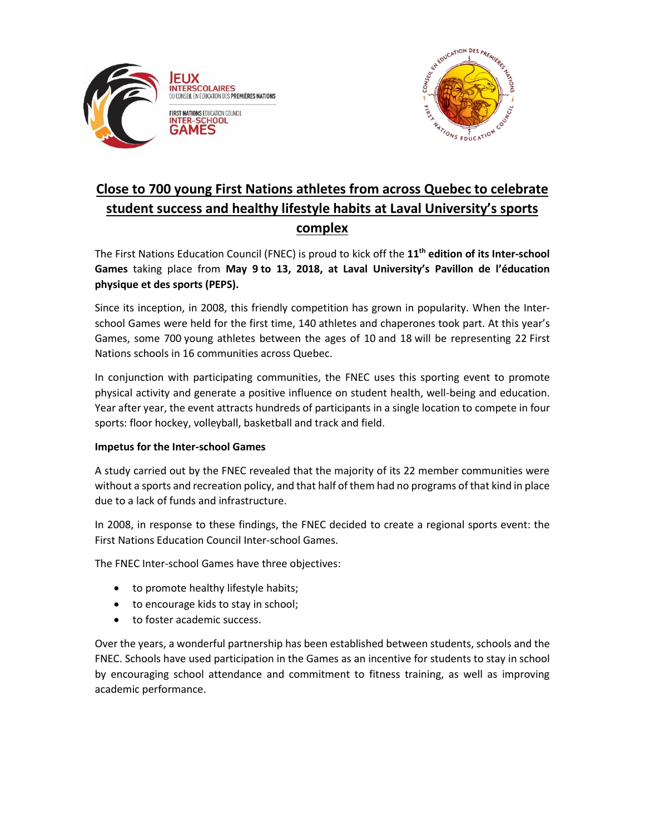



## **Close to 700 young First Nations athletes from across Quebec to celebrate student success and healthy lifestyle habits at Laval University's sports complex**

The First Nations Education Council (FNEC) is proud to kick off the **11 th edition of its Inter-school Games** taking place from **May 9 to 13, 2018, at Laval University's Pavillon de l'éducation physique et des sports (PEPS).**

Since its inception, in 2008, this friendly competition has grown in popularity. When the Interschool Games were held for the first time, 140 athletes and chaperones took part. At this year's Games, some 700 young athletes between the ages of 10 and 18 will be representing 22 First Nations schools in 16 communities across Quebec.

In conjunction with participating communities, the FNEC uses this sporting event to promote physical activity and generate a positive influence on student health, well-being and education. Year after year, the event attracts hundreds of participants in a single location to compete in four sports: floor hockey, volleyball, basketball and track and field.

## **Impetus for the Inter-school Games**

A study carried out by the FNEC revealed that the majority of its 22 member communities were without a sports and recreation policy, and that half of them had no programs of that kind in place due to a lack of funds and infrastructure.

In 2008, in response to these findings, the FNEC decided to create a regional sports event: the First Nations Education Council Inter-school Games.

The FNEC Inter-school Games have three objectives:

- to promote healthy lifestyle habits;
- to encourage kids to stay in school;
- to foster academic success.

Over the years, a wonderful partnership has been established between students, schools and the FNEC. Schools have used participation in the Games as an incentive for students to stay in school by encouraging school attendance and commitment to fitness training, as well as improving academic performance.